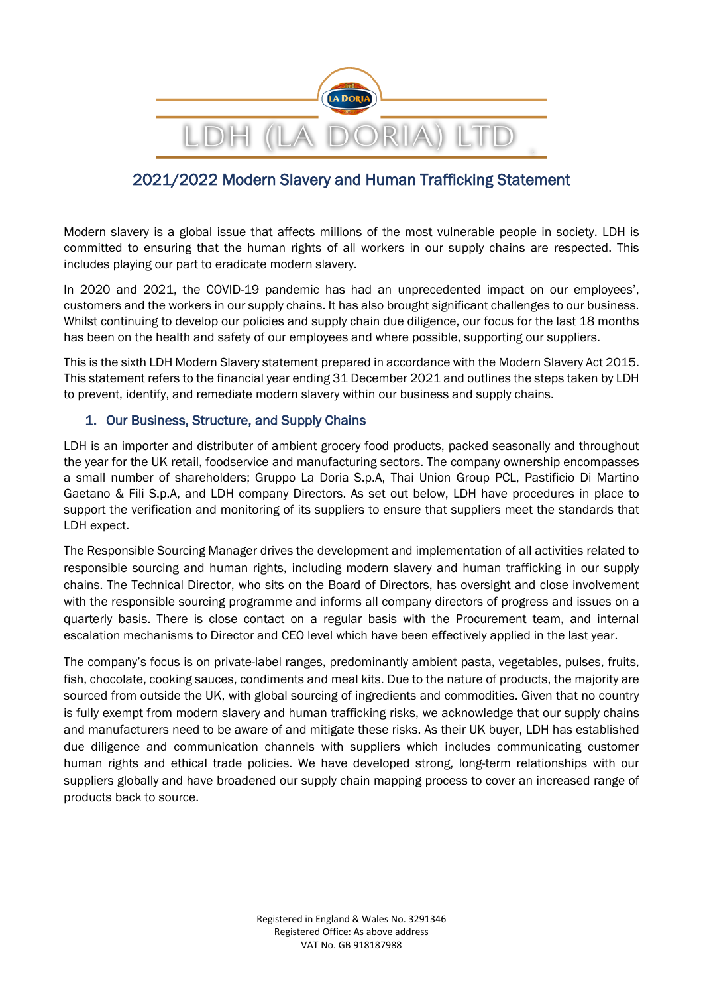

# 2021/2022 Modern Slavery and Human Trafficking Statement

Modern slavery is a global issue that affects millions of the most vulnerable people in society. LDH is committed to ensuring that the human rights of all workers in our supply chains are respected. This includes playing our part to eradicate modern slavery.

In 2020 and 2021, the COVID-19 pandemic has had an unprecedented impact on our employees', customers and the workers in our supply chains. It has also brought significant challenges to our business. Whilst continuing to develop our policies and supply chain due diligence, our focus for the last 18 months has been on the health and safety of our employees and where possible, supporting our suppliers.

This is the sixth LDH Modern Slavery statement prepared in accordance with the Modern Slavery Act 2015. This statement refers to the financial year ending 31 December 2021 and outlines the steps taken by LDH to prevent, identify, and remediate modern slavery within our business and supply chains.

# 1. Our Business, Structure, and Supply Chains

LDH is an importer and distributer of ambient grocery food products, packed seasonally and throughout the year for the UK retail, foodservice and manufacturing sectors. The company ownership encompasses a small number of shareholders; Gruppo La Doria S.p.A, Thai Union Group PCL, Pastificio Di Martino Gaetano & Fili S.p.A, and LDH company Directors. As set out below, LDH have procedures in place to support the verification and monitoring of its suppliers to ensure that suppliers meet the standards that LDH expect.

The Responsible Sourcing Manager drives the development and implementation of all activities related to responsible sourcing and human rights, including modern slavery and human trafficking in our supply chains. The Technical Director, who sits on the Board of Directors, has oversight and close involvement with the responsible sourcing programme and informs all company directors of progress and issues on a quarterly basis. There is close contact on a regular basis with the Procurement team, and internal escalation mechanisms to Director and CEO level-which have been effectively applied in the last year.

The company's focus is on private-label ranges, predominantly ambient pasta, vegetables, pulses, fruits, fish, chocolate, cooking sauces, condiments and meal kits. Due to the nature of products, the majority are sourced from outside the UK, with global sourcing of ingredients and commodities. Given that no country is fully exempt from modern slavery and human trafficking risks, we acknowledge that our supply chains and manufacturers need to be aware of and mitigate these risks. As their UK buyer, LDH has established due diligence and communication channels with suppliers which includes communicating customer human rights and ethical trade policies. We have developed strong, long-term relationships with our suppliers globally and have broadened our supply chain mapping process to cover an increased range of products back to source.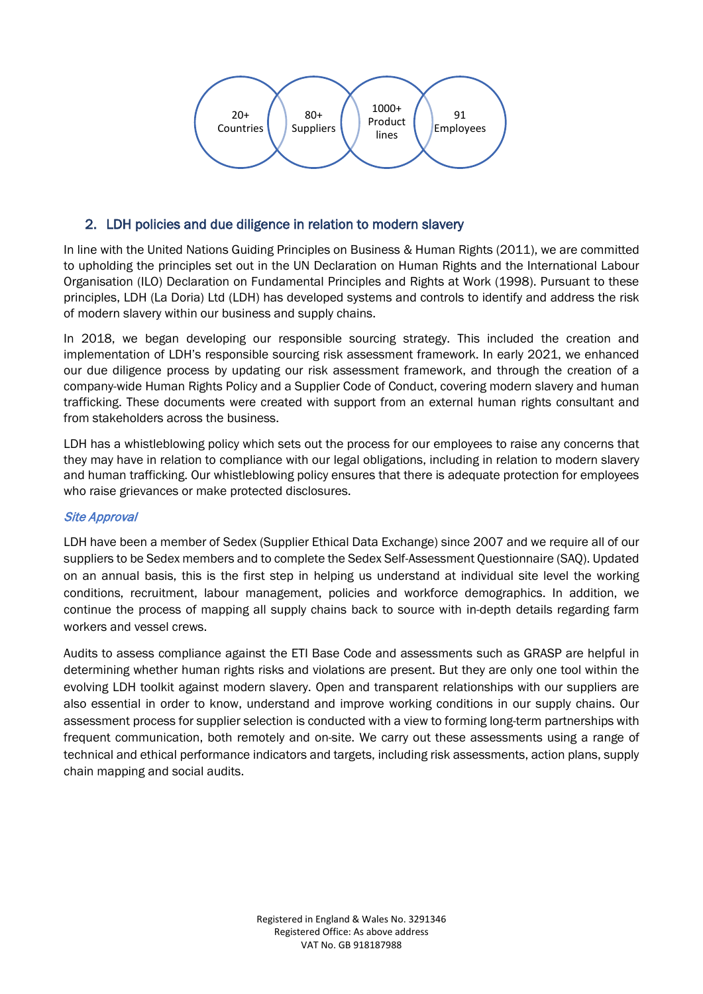

# 2. LDH policies and due diligence in relation to modern slavery

In line with the United Nations Guiding Principles on Business & Human Rights (2011), we are committed to upholding the principles set out in the UN Declaration on Human Rights and the International Labour Organisation (ILO) Declaration on Fundamental Principles and Rights at Work (1998). Pursuant to these principles, LDH (La Doria) Ltd (LDH) has developed systems and controls to identify and address the risk of modern slavery within our business and supply chains.

In 2018, we began developing our responsible sourcing strategy. This included the creation and implementation of LDH's responsible sourcing risk assessment framework. In early 2021, we enhanced our due diligence process by updating our risk assessment framework, and through the creation of a company-wide Human Rights Policy and a Supplier Code of Conduct, covering modern slavery and human trafficking. These documents were created with support from an external human rights consultant and from stakeholders across the business.

LDH has a whistleblowing policy which sets out the process for our employees to raise any concerns that they may have in relation to compliance with our legal obligations, including in relation to modern slavery and human trafficking. Our whistleblowing policy ensures that there is adequate protection for employees who raise grievances or make protected disclosures.

### Site Approval

LDH have been a member of Sedex (Supplier Ethical Data Exchange) since 2007 and we require all of our suppliers to be Sedex members and to complete the Sedex Self-Assessment Questionnaire (SAQ). Updated on an annual basis, this is the first step in helping us understand at individual site level the working conditions, recruitment, labour management, policies and workforce demographics. In addition, we continue the process of mapping all supply chains back to source with in-depth details regarding farm workers and vessel crews.

Audits to assess compliance against the ETI Base Code and assessments such as GRASP are helpful in determining whether human rights risks and violations are present. But they are only one tool within the evolving LDH toolkit against modern slavery. Open and transparent relationships with our suppliers are also essential in order to know, understand and improve working conditions in our supply chains. Our assessment process for supplier selection is conducted with a view to forming long-term partnerships with frequent communication, both remotely and on-site. We carry out these assessments using a range of technical and ethical performance indicators and targets, including risk assessments, action plans, supply chain mapping and social audits.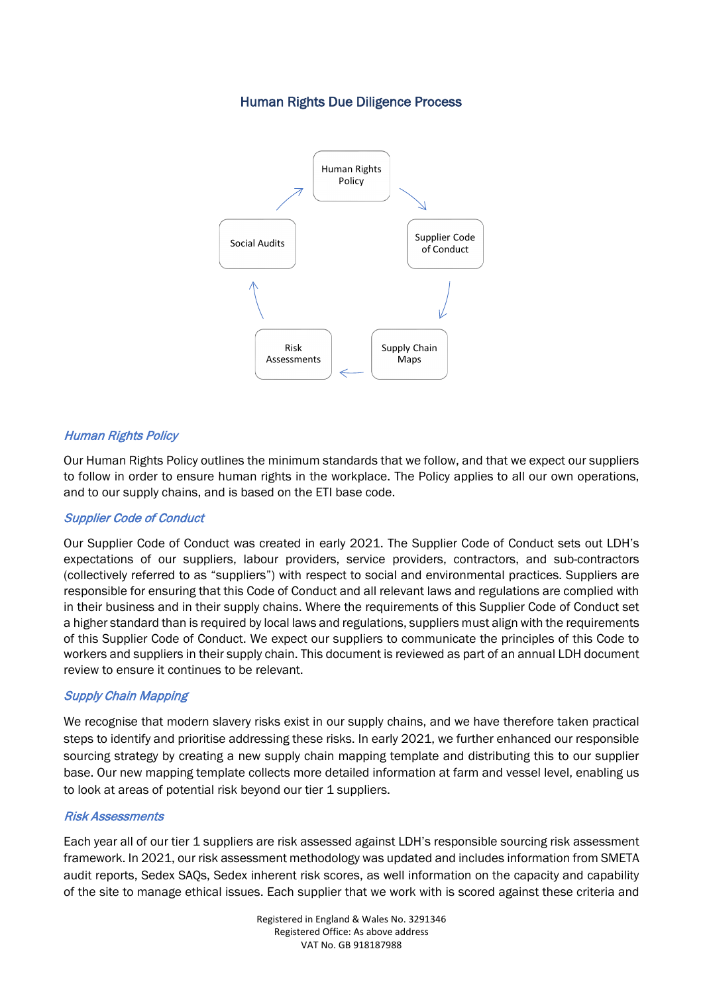# Human Rights Due Diligence Process



### Human Rights Policy

Our Human Rights Policy outlines the minimum standards that we follow, and that we expect our suppliers to follow in order to ensure human rights in the workplace. The Policy applies to all our own operations, and to our supply chains, and is based on the ETI base code.

### Supplier Code of Conduct

Our Supplier Code of Conduct was created in early 2021. The Supplier Code of Conduct sets out LDH's expectations of our suppliers, labour providers, service providers, contractors, and sub-contractors (collectively referred to as "suppliers") with respect to social and environmental practices. Suppliers are responsible for ensuring that this Code of Conduct and all relevant laws and regulations are complied with in their business and in their supply chains. Where the requirements of this Supplier Code of Conduct set a higher standard than is required by local laws and regulations, suppliers must align with the requirements of this Supplier Code of Conduct. We expect our suppliers to communicate the principles of this Code to workers and suppliers in their supply chain. This document is reviewed as part of an annual LDH document review to ensure it continues to be relevant.

### Supply Chain Mapping

We recognise that modern slavery risks exist in our supply chains, and we have therefore taken practical steps to identify and prioritise addressing these risks. In early 2021, we further enhanced our responsible sourcing strategy by creating a new supply chain mapping template and distributing this to our supplier base. Our new mapping template collects more detailed information at farm and vessel level, enabling us to look at areas of potential risk beyond our tier 1 suppliers.

#### Risk Assessments

Each year all of our tier 1 suppliers are risk assessed against LDH's responsible sourcing risk assessment framework. In 2021, our risk assessment methodology was updated and includes information from SMETA audit reports, Sedex SAQs, Sedex inherent risk scores, as well information on the capacity and capability of the site to manage ethical issues. Each supplier that we work with is scored against these criteria and

> Registered in England & Wales No. 3291346 Registered Office: As above address VAT No. GB 918187988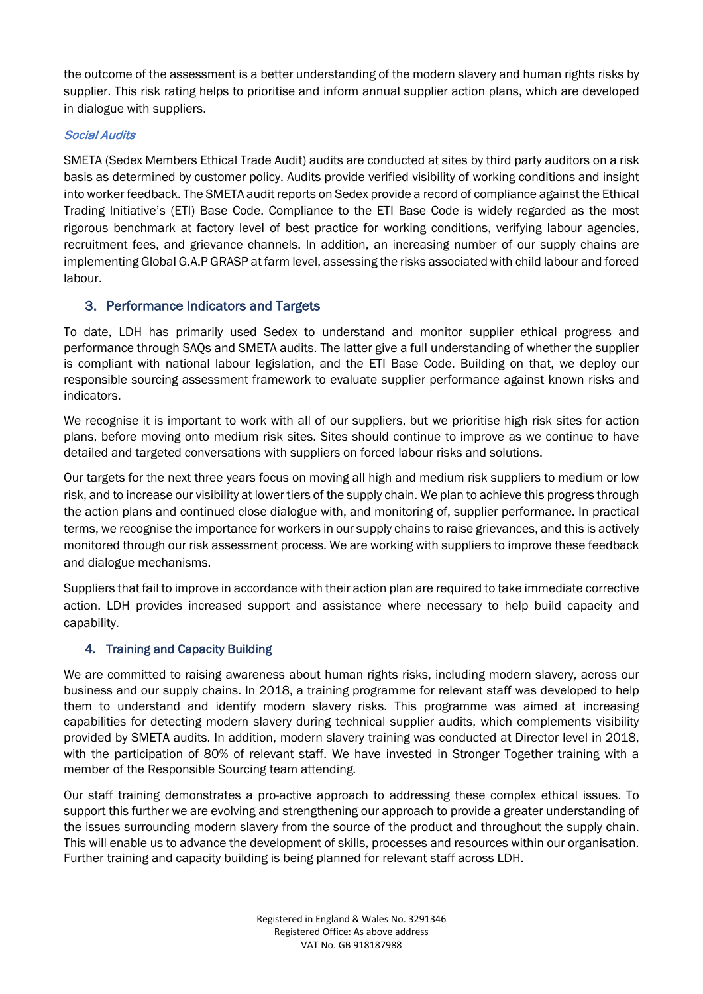the outcome of the assessment is a better understanding of the modern slavery and human rights risks by supplier. This risk rating helps to prioritise and inform annual supplier action plans, which are developed in dialogue with suppliers.

### Social Audits

SMETA (Sedex Members Ethical Trade Audit) audits are conducted at sites by third party auditors on a risk basis as determined by customer policy. Audits provide verified visibility of working conditions and insight into worker feedback. The SMETA audit reports on Sedex provide a record of compliance against the Ethical Trading Initiative's (ETI) Base Code. Compliance to the ETI Base Code is widely regarded as the most rigorous benchmark at factory level of best practice for working conditions, verifying labour agencies, recruitment fees, and grievance channels. In addition, an increasing number of our supply chains are implementing Global G.A.P GRASP at farm level, assessing the risks associated with child labour and forced labour.

# 3. Performance Indicators and Targets

To date, LDH has primarily used Sedex to understand and monitor supplier ethical progress and performance through SAQs and SMETA audits. The latter give a full understanding of whether the supplier is compliant with national labour legislation, and the ETI Base Code. Building on that, we deploy our responsible sourcing assessment framework to evaluate supplier performance against known risks and indicators.

We recognise it is important to work with all of our suppliers, but we prioritise high risk sites for action plans, before moving onto medium risk sites. Sites should continue to improve as we continue to have detailed and targeted conversations with suppliers on forced labour risks and solutions.

Our targets for the next three years focus on moving all high and medium risk suppliers to medium or low risk, and to increase our visibility at lower tiers of the supply chain. We plan to achieve this progress through the action plans and continued close dialogue with, and monitoring of, supplier performance. In practical terms, we recognise the importance for workers in our supply chains to raise grievances, and this is actively monitored through our risk assessment process. We are working with suppliers to improve these feedback and dialogue mechanisms.

Suppliers that fail to improve in accordance with their action plan are required to take immediate corrective action. LDH provides increased support and assistance where necessary to help build capacity and capability.

# 4. Training and Capacity Building

We are committed to raising awareness about human rights risks, including modern slavery, across our business and our supply chains. In 2018, a training programme for relevant staff was developed to help them to understand and identify modern slavery risks. This programme was aimed at increasing capabilities for detecting modern slavery during technical supplier audits, which complements visibility provided by SMETA audits. In addition, modern slavery training was conducted at Director level in 2018, with the participation of 80% of relevant staff. We have invested in Stronger Together training with a member of the Responsible Sourcing team attending.

Our staff training demonstrates a pro-active approach to addressing these complex ethical issues. To support this further we are evolving and strengthening our approach to provide a greater understanding of the issues surrounding modern slavery from the source of the product and throughout the supply chain. This will enable us to advance the development of skills, processes and resources within our organisation. Further training and capacity building is being planned for relevant staff across LDH.